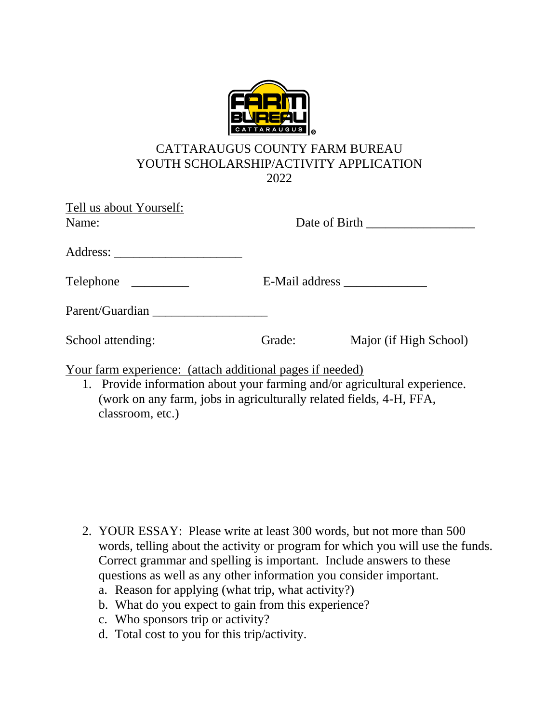

## CATTARAUGUS COUNTY FARM BUREAU YOUTH SCHOLARSHIP/ACTIVITY APPLICATION 2022

| Tell us about Yourself:<br>Name:                          |        |                        |
|-----------------------------------------------------------|--------|------------------------|
|                                                           |        |                        |
|                                                           |        |                        |
| Parent/Guardian                                           |        |                        |
| School attending:                                         | Grade: | Major (if High School) |
| Your farm experience: (attach additional pages if needed) |        |                        |

1. Provide information about your farming and/or agricultural experience. (work on any farm, jobs in agriculturally related fields, 4-H, FFA, classroom, etc.)

- 2. YOUR ESSAY: Please write at least 300 words, but not more than 500 words, telling about the activity or program for which you will use the funds. Correct grammar and spelling is important. Include answers to these questions as well as any other information you consider important.
	- a. Reason for applying (what trip, what activity?)
	- b. What do you expect to gain from this experience?
	- c. Who sponsors trip or activity?
	- d. Total cost to you for this trip/activity.